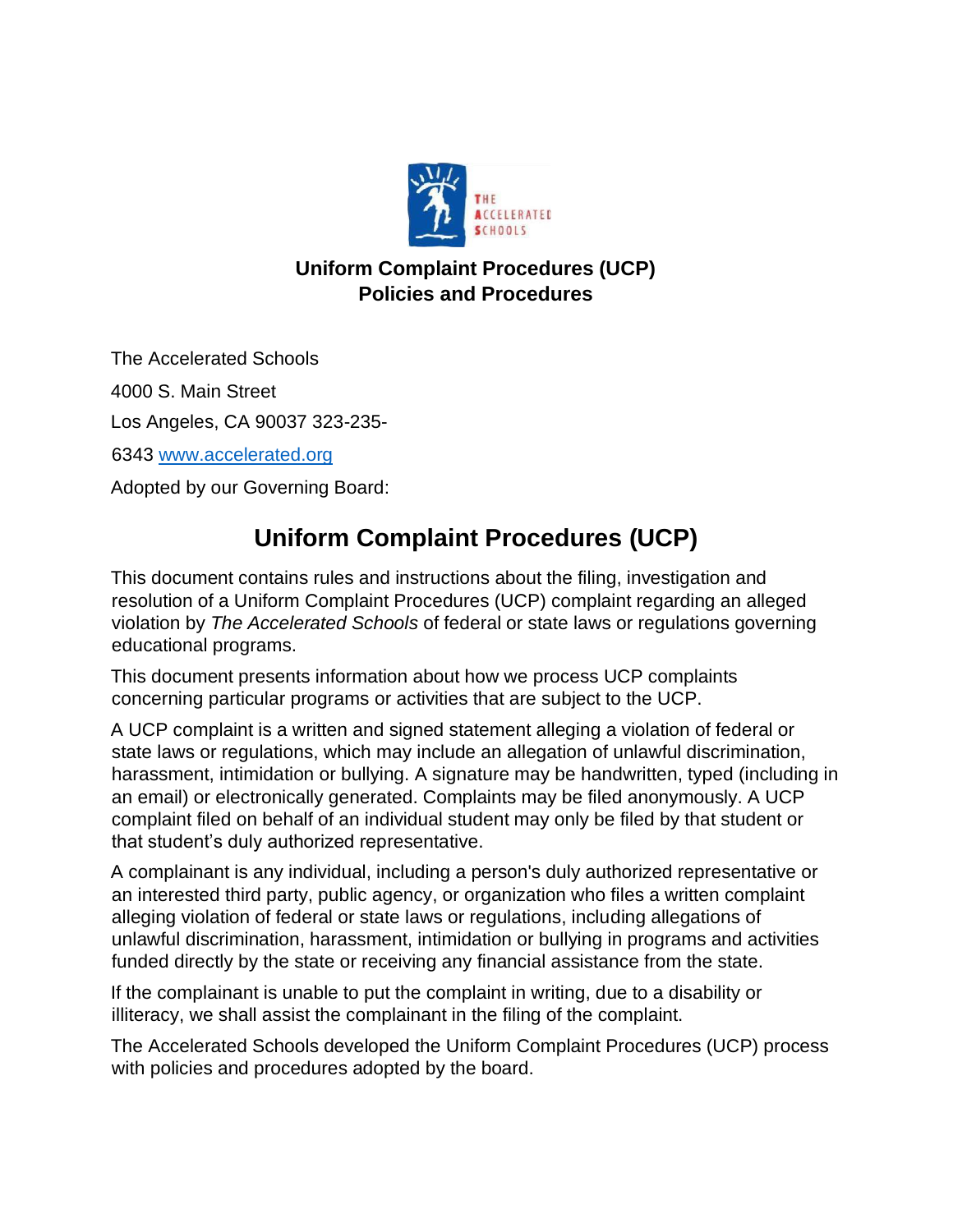

## **Uniform Complaint Procedures (UCP) Policies and Procedures**

The Accelerated Schools 4000 S. Main Street Los Angeles, CA 90037 323-235- 6343 [www.accelerated.org](http://www.accelerated.org/) Adopted by our Governing Board:

# **Uniform Complaint Procedures (UCP)**

This document contains rules and instructions about the filing, investigation and resolution of a Uniform Complaint Procedures (UCP) complaint regarding an alleged violation by *The Accelerated Schools* of federal or state laws or regulations governing educational programs.

This document presents information about how we process UCP complaints concerning particular programs or activities that are subject to the UCP.

A UCP complaint is a written and signed statement alleging a violation of federal or state laws or regulations, which may include an allegation of unlawful discrimination, harassment, intimidation or bullying. A signature may be handwritten, typed (including in an email) or electronically generated. Complaints may be filed anonymously. A UCP complaint filed on behalf of an individual student may only be filed by that student or that student's duly authorized representative.

A complainant is any individual, including a person's duly authorized representative or an interested third party, public agency, or organization who files a written complaint alleging violation of federal or state laws or regulations, including allegations of unlawful discrimination, harassment, intimidation or bullying in programs and activities funded directly by the state or receiving any financial assistance from the state.

If the complainant is unable to put the complaint in writing, due to a disability or illiteracy, we shall assist the complainant in the filing of the complaint.

The Accelerated Schools developed the Uniform Complaint Procedures (UCP) process with policies and procedures adopted by the board.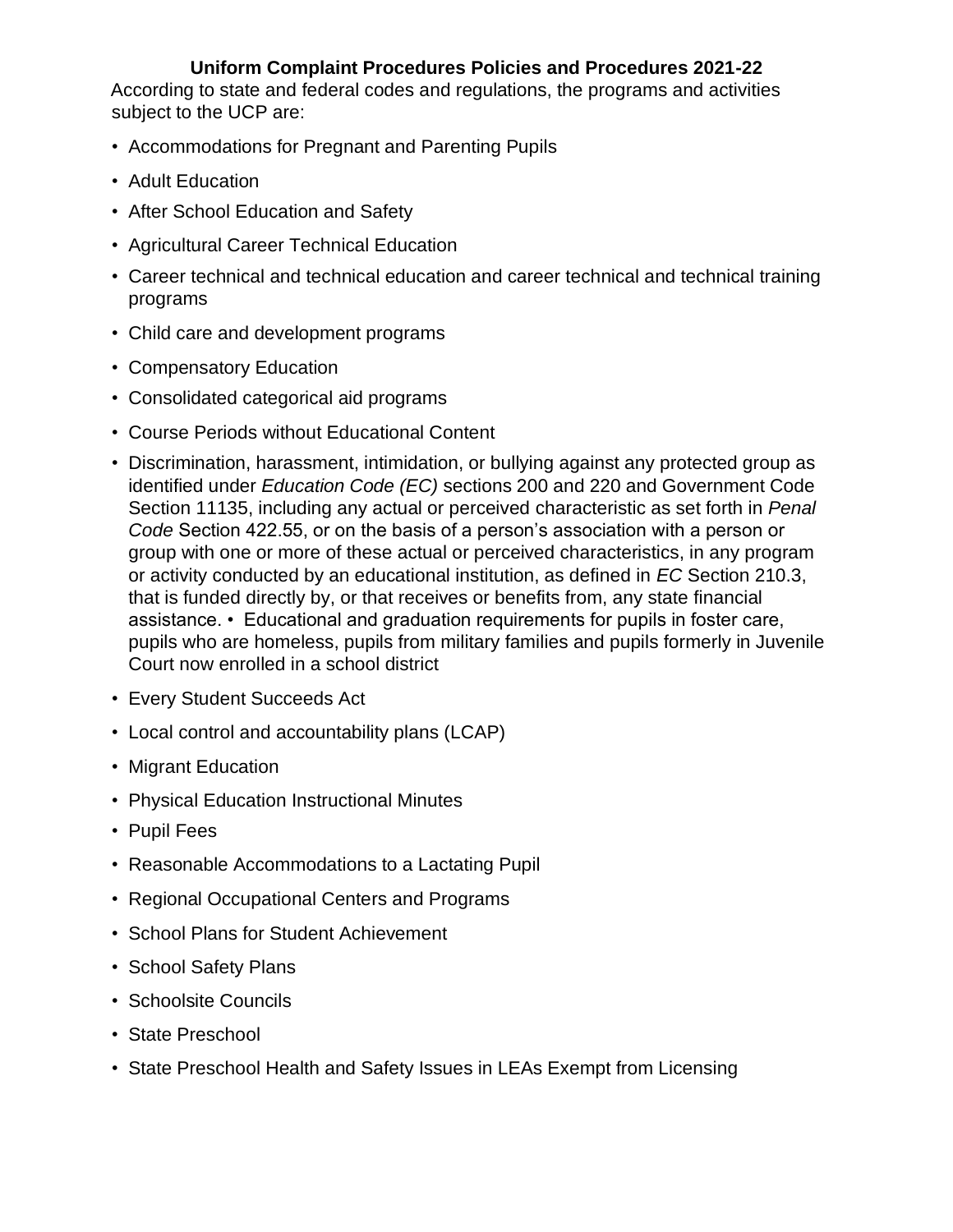According to state and federal codes and regulations, the programs and activities subject to the UCP are:

- Accommodations for Pregnant and Parenting Pupils
- Adult Education
- After School Education and Safety
- Agricultural Career Technical Education
- Career technical and technical education and career technical and technical training programs
- Child care and development programs
- Compensatory Education
- Consolidated categorical aid programs
- Course Periods without Educational Content
- Discrimination, harassment, intimidation, or bullying against any protected group as identified under *Education Code (EC)* sections 200 and 220 and Government Code Section 11135, including any actual or perceived characteristic as set forth in *Penal Code* Section 422.55, or on the basis of a person's association with a person or group with one or more of these actual or perceived characteristics, in any program or activity conducted by an educational institution, as defined in *EC* Section 210.3, that is funded directly by, or that receives or benefits from, any state financial assistance. • Educational and graduation requirements for pupils in foster care, pupils who are homeless, pupils from military families and pupils formerly in Juvenile Court now enrolled in a school district
- Every Student Succeeds Act
- Local control and accountability plans (LCAP)
- Migrant Education
- Physical Education Instructional Minutes
- Pupil Fees
- Reasonable Accommodations to a Lactating Pupil
- Regional Occupational Centers and Programs
- School Plans for Student Achievement
- School Safety Plans
- Schoolsite Councils
- State Preschool
- State Preschool Health and Safety Issues in LEAs Exempt from Licensing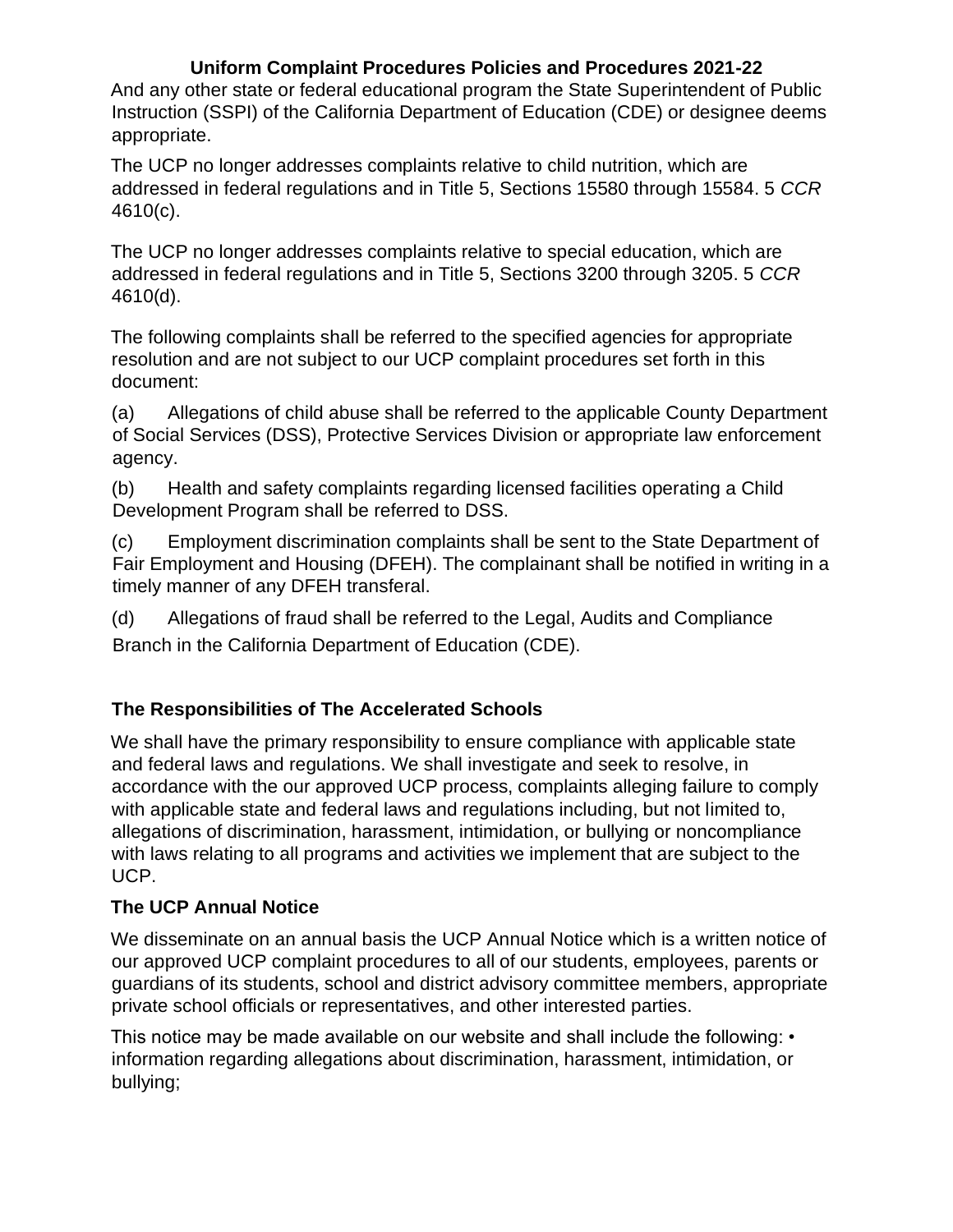And any other state or federal educational program the State Superintendent of Public Instruction (SSPI) of the California Department of Education (CDE) or designee deems appropriate.

The UCP no longer addresses complaints relative to child nutrition, which are addressed in federal regulations and in Title 5, Sections 15580 through 15584. 5 *CCR* 4610(c).

The UCP no longer addresses complaints relative to special education, which are addressed in federal regulations and in Title 5, Sections 3200 through 3205. 5 *CCR* 4610(d).

The following complaints shall be referred to the specified agencies for appropriate resolution and are not subject to our UCP complaint procedures set forth in this document:

(a) Allegations of child abuse shall be referred to the applicable County Department of Social Services (DSS), Protective Services Division or appropriate law enforcement agency.

(b) Health and safety complaints regarding licensed facilities operating a Child Development Program shall be referred to DSS.

(c) Employment discrimination complaints shall be sent to the State Department of Fair Employment and Housing (DFEH). The complainant shall be notified in writing in a timely manner of any DFEH transferal.

(d) Allegations of fraud shall be referred to the Legal, Audits and Compliance Branch in the California Department of Education (CDE).

### **The Responsibilities of The Accelerated Schools**

We shall have the primary responsibility to ensure compliance with applicable state and federal laws and regulations. We shall investigate and seek to resolve, in accordance with the our approved UCP process, complaints alleging failure to comply with applicable state and federal laws and regulations including, but not limited to, allegations of discrimination, harassment, intimidation, or bullying or noncompliance with laws relating to all programs and activities we implement that are subject to the UCP.

#### **The UCP Annual Notice**

We disseminate on an annual basis the UCP Annual Notice which is a written notice of our approved UCP complaint procedures to all of our students, employees, parents or guardians of its students, school and district advisory committee members, appropriate private school officials or representatives, and other interested parties.

This notice may be made available on our website and shall include the following: • information regarding allegations about discrimination, harassment, intimidation, or bullying;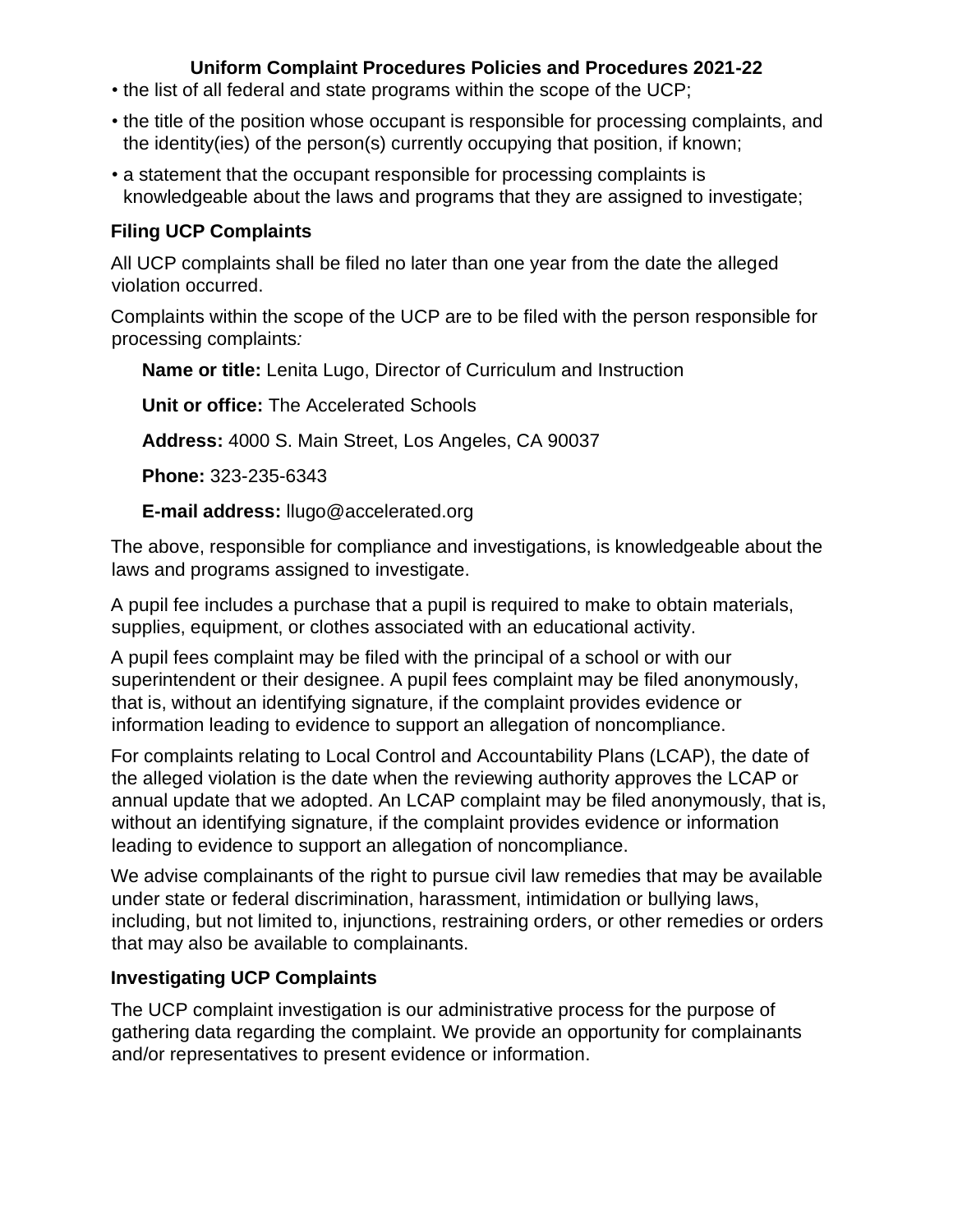- the list of all federal and state programs within the scope of the UCP;
- the title of the position whose occupant is responsible for processing complaints, and the identity(ies) of the person(s) currently occupying that position, if known;
- a statement that the occupant responsible for processing complaints is knowledgeable about the laws and programs that they are assigned to investigate;

#### **Filing UCP Complaints**

All UCP complaints shall be filed no later than one year from the date the alleged violation occurred.

Complaints within the scope of the UCP are to be filed with the person responsible for processing complaints*:* 

**Name or title:** Lenita Lugo, Director of Curriculum and Instruction

**Unit or office:** The Accelerated Schools

**Address:** 4000 S. Main Street, Los Angeles, CA 90037

**Phone:** 323-235-6343

**E-mail address:** llugo@accelerated.org

The above, responsible for compliance and investigations, is knowledgeable about the laws and programs assigned to investigate.

A pupil fee includes a purchase that a pupil is required to make to obtain materials, supplies, equipment, or clothes associated with an educational activity.

A pupil fees complaint may be filed with the principal of a school or with our superintendent or their designee. A pupil fees complaint may be filed anonymously, that is, without an identifying signature, if the complaint provides evidence or information leading to evidence to support an allegation of noncompliance.

For complaints relating to Local Control and Accountability Plans (LCAP), the date of the alleged violation is the date when the reviewing authority approves the LCAP or annual update that we adopted. An LCAP complaint may be filed anonymously, that is, without an identifying signature, if the complaint provides evidence or information leading to evidence to support an allegation of noncompliance.

We advise complainants of the right to pursue civil law remedies that may be available under state or federal discrimination, harassment, intimidation or bullying laws, including, but not limited to, injunctions, restraining orders, or other remedies or orders that may also be available to complainants.

### **Investigating UCP Complaints**

The UCP complaint investigation is our administrative process for the purpose of gathering data regarding the complaint. We provide an opportunity for complainants and/or representatives to present evidence or information.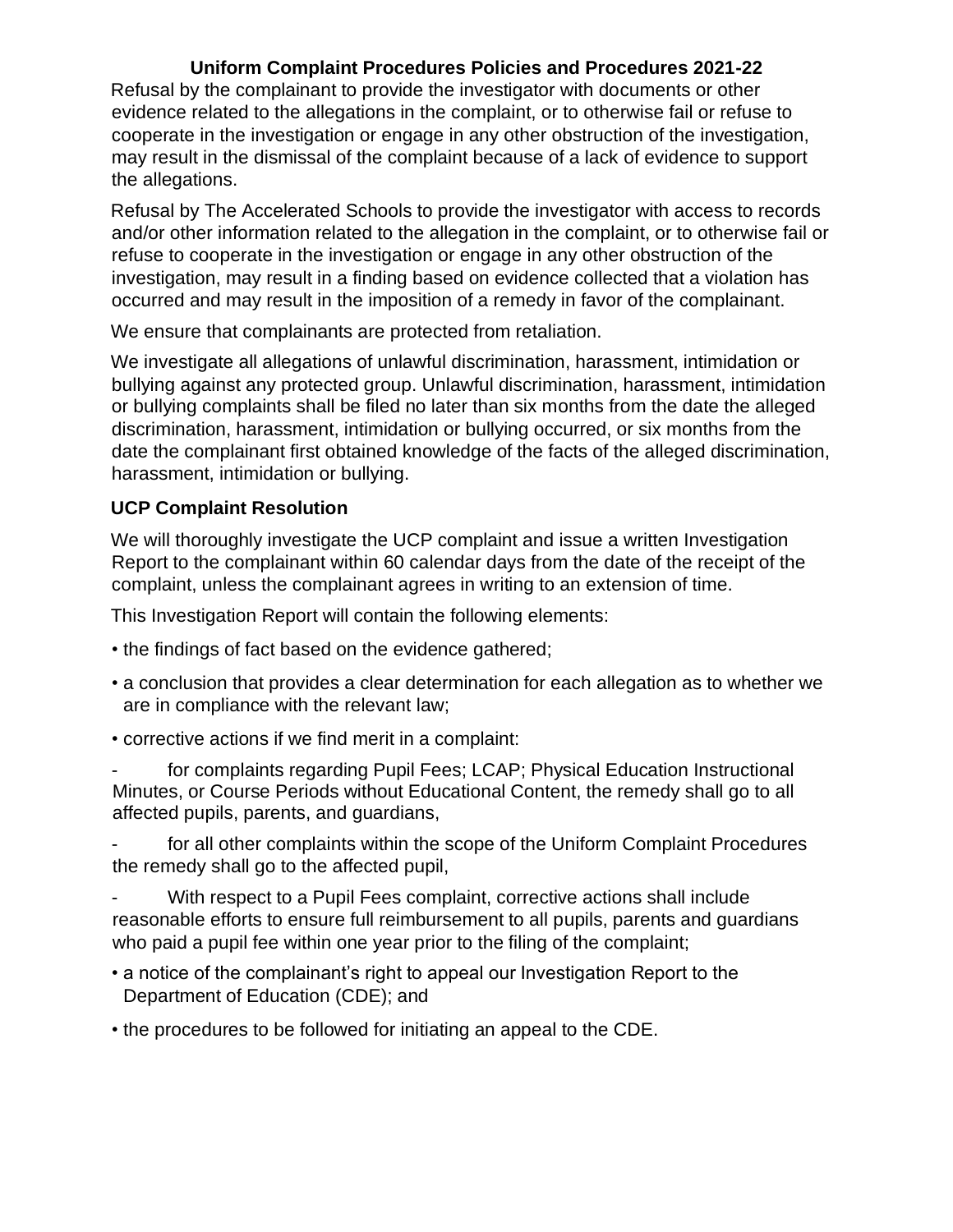Refusal by the complainant to provide the investigator with documents or other evidence related to the allegations in the complaint, or to otherwise fail or refuse to cooperate in the investigation or engage in any other obstruction of the investigation, may result in the dismissal of the complaint because of a lack of evidence to support the allegations.

Refusal by The Accelerated Schools to provide the investigator with access to records and/or other information related to the allegation in the complaint, or to otherwise fail or refuse to cooperate in the investigation or engage in any other obstruction of the investigation, may result in a finding based on evidence collected that a violation has occurred and may result in the imposition of a remedy in favor of the complainant.

We ensure that complainants are protected from retaliation.

We investigate all allegations of unlawful discrimination, harassment, intimidation or bullying against any protected group. Unlawful discrimination, harassment, intimidation or bullying complaints shall be filed no later than six months from the date the alleged discrimination, harassment, intimidation or bullying occurred, or six months from the date the complainant first obtained knowledge of the facts of the alleged discrimination, harassment, intimidation or bullying.

#### **UCP Complaint Resolution**

We will thoroughly investigate the UCP complaint and issue a written Investigation Report to the complainant within 60 calendar days from the date of the receipt of the complaint, unless the complainant agrees in writing to an extension of time.

This Investigation Report will contain the following elements:

- the findings of fact based on the evidence gathered;
- a conclusion that provides a clear determination for each allegation as to whether we are in compliance with the relevant law;
- corrective actions if we find merit in a complaint:

for complaints regarding Pupil Fees; LCAP; Physical Education Instructional Minutes, or Course Periods without Educational Content, the remedy shall go to all affected pupils, parents, and guardians,

for all other complaints within the scope of the Uniform Complaint Procedures the remedy shall go to the affected pupil,

With respect to a Pupil Fees complaint, corrective actions shall include reasonable efforts to ensure full reimbursement to all pupils, parents and guardians who paid a pupil fee within one year prior to the filing of the complaint;

- a notice of the complainant's right to appeal our Investigation Report to the Department of Education (CDE); and
- the procedures to be followed for initiating an appeal to the CDE.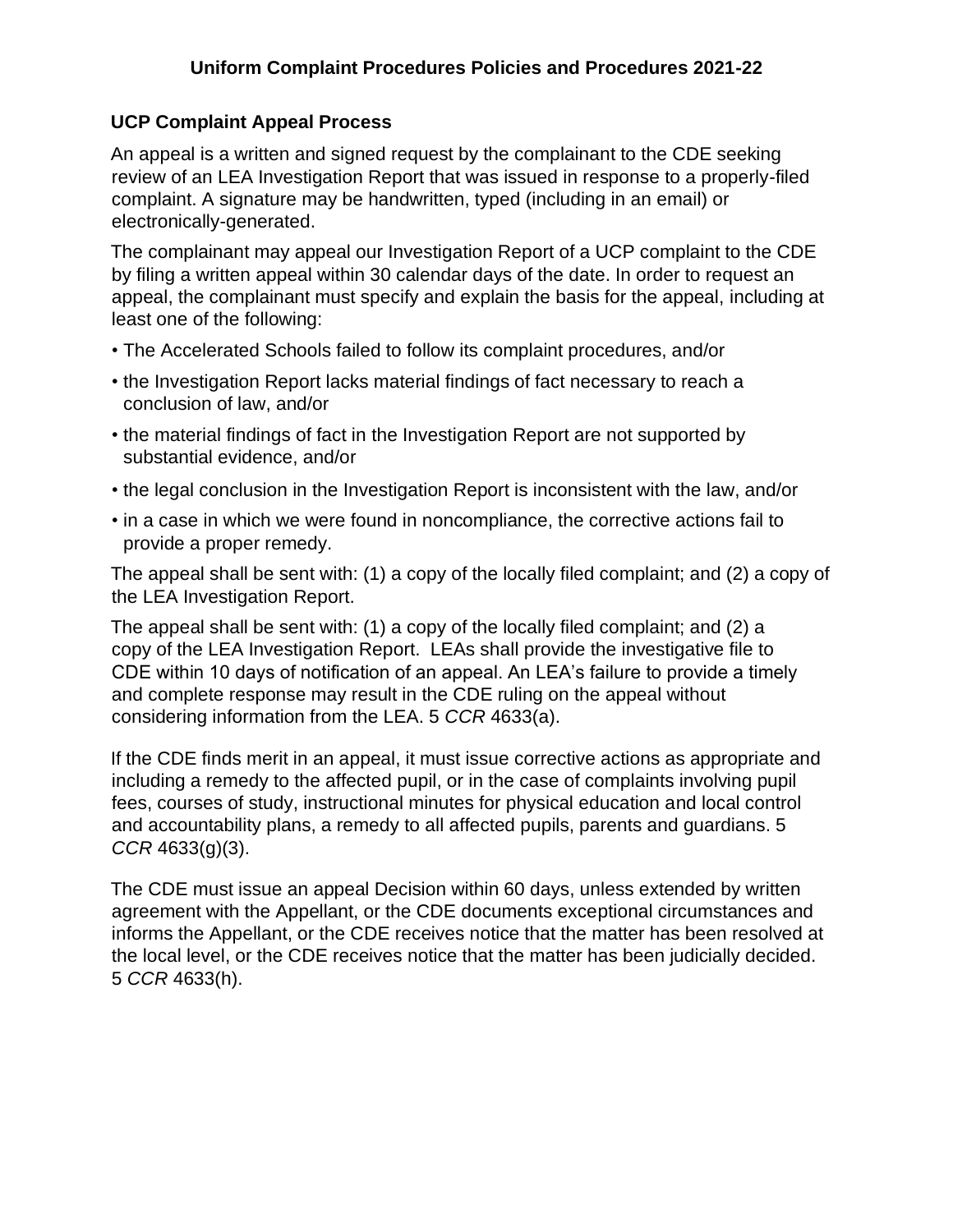#### **UCP Complaint Appeal Process**

An appeal is a written and signed request by the complainant to the CDE seeking review of an LEA Investigation Report that was issued in response to a properly-filed complaint. A signature may be handwritten, typed (including in an email) or electronically-generated.

The complainant may appeal our Investigation Report of a UCP complaint to the CDE by filing a written appeal within 30 calendar days of the date. In order to request an appeal, the complainant must specify and explain the basis for the appeal, including at least one of the following:

- The Accelerated Schools failed to follow its complaint procedures, and/or
- the Investigation Report lacks material findings of fact necessary to reach a conclusion of law, and/or
- the material findings of fact in the Investigation Report are not supported by substantial evidence, and/or
- the legal conclusion in the Investigation Report is inconsistent with the law, and/or
- in a case in which we were found in noncompliance, the corrective actions fail to provide a proper remedy.

The appeal shall be sent with: (1) a copy of the locally filed complaint; and (2) a copy of the LEA Investigation Report.

The appeal shall be sent with: (1) a copy of the locally filed complaint; and (2) a copy of the LEA Investigation Report. LEAs shall provide the investigative file to CDE within 10 days of notification of an appeal. An LEA's failure to provide a timely and complete response may result in the CDE ruling on the appeal without considering information from the LEA. 5 *CCR* 4633(a).

If the CDE finds merit in an appeal, it must issue corrective actions as appropriate and including a remedy to the affected pupil, or in the case of complaints involving pupil fees, courses of study, instructional minutes for physical education and local control and accountability plans, a remedy to all affected pupils, parents and guardians. 5 *CCR* 4633(g)(3).

The CDE must issue an appeal Decision within 60 days, unless extended by written agreement with the Appellant, or the CDE documents exceptional circumstances and informs the Appellant, or the CDE receives notice that the matter has been resolved at the local level, or the CDE receives notice that the matter has been judicially decided. 5 *CCR* 4633(h).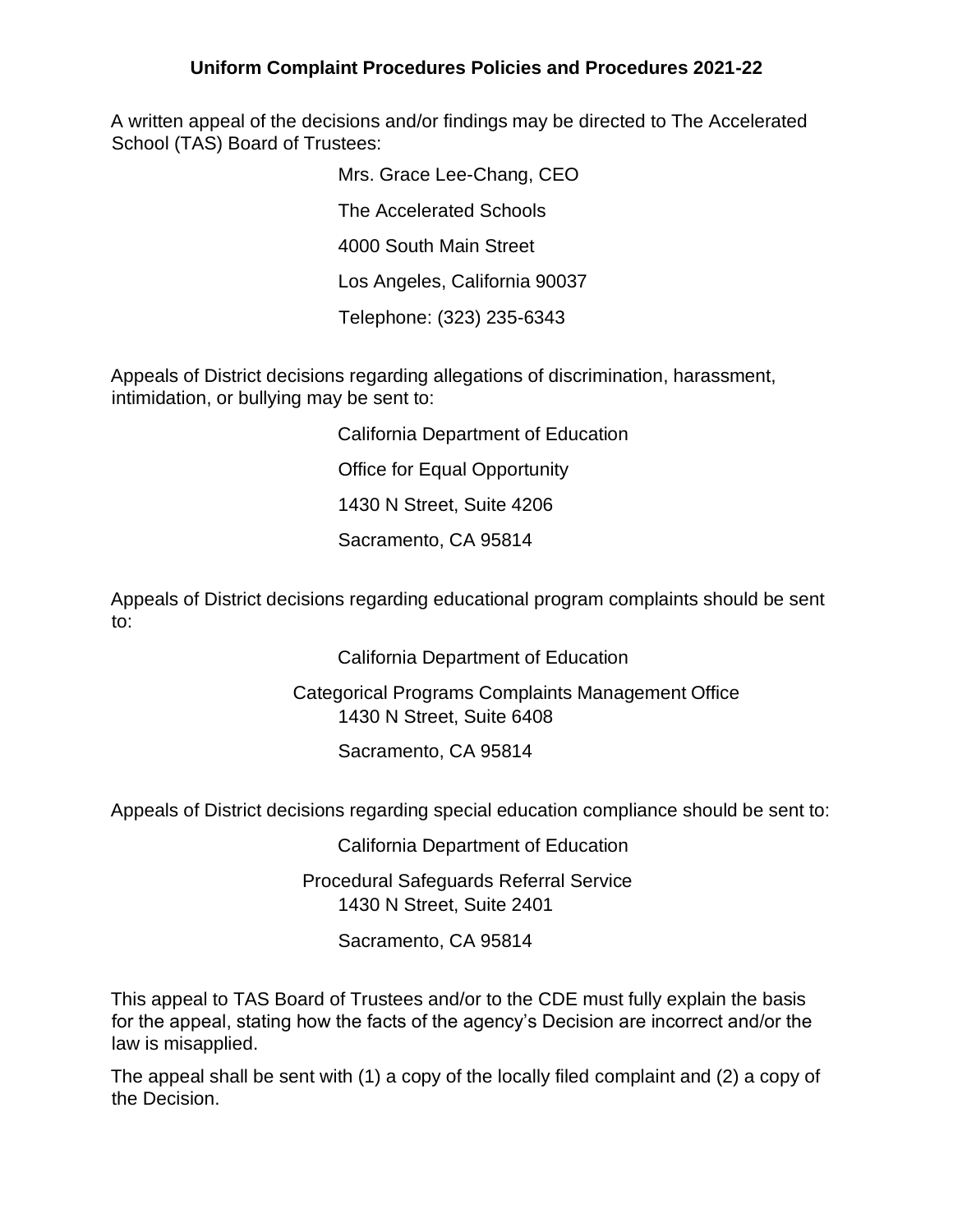A written appeal of the decisions and/or findings may be directed to The Accelerated School (TAS) Board of Trustees:

> Mrs. Grace Lee-Chang, CEO The Accelerated Schools 4000 South Main Street Los Angeles, California 90037 Telephone: (323) 235-6343

Appeals of District decisions regarding allegations of discrimination, harassment, intimidation, or bullying may be sent to:

> California Department of Education Office for Equal Opportunity 1430 N Street, Suite 4206

Sacramento, CA 95814

Appeals of District decisions regarding educational program complaints should be sent to:

California Department of Education

Categorical Programs Complaints Management Office 1430 N Street, Suite 6408

Sacramento, CA 95814

Appeals of District decisions regarding special education compliance should be sent to:

California Department of Education

Procedural Safeguards Referral Service 1430 N Street, Suite 2401

Sacramento, CA 95814

This appeal to TAS Board of Trustees and/or to the CDE must fully explain the basis for the appeal, stating how the facts of the agency's Decision are incorrect and/or the law is misapplied.

The appeal shall be sent with (1) a copy of the locally filed complaint and (2) a copy of the Decision.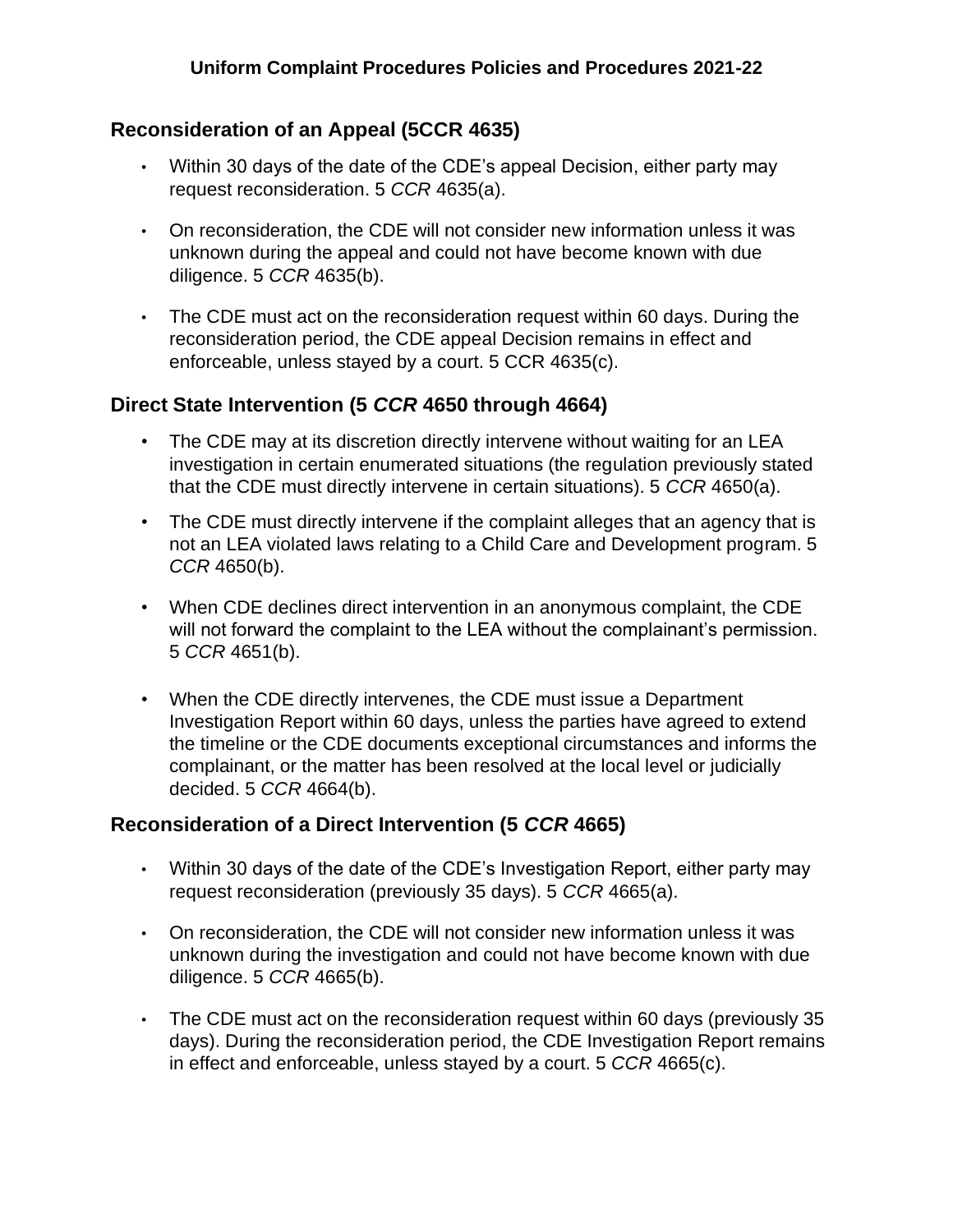### **Reconsideration of an Appeal (5CCR 4635)**

- Within 30 days of the date of the CDE's appeal Decision, either party may request reconsideration. 5 *CCR* 4635(a).
- On reconsideration, the CDE will not consider new information unless it was unknown during the appeal and could not have become known with due diligence. 5 *CCR* 4635(b).
- The CDE must act on the reconsideration request within 60 days. During the reconsideration period, the CDE appeal Decision remains in effect and enforceable, unless stayed by a court. 5 CCR 4635(c).

### **Direct State Intervention (5** *CCR* **4650 through 4664)**

- The CDE may at its discretion directly intervene without waiting for an LEA investigation in certain enumerated situations (the regulation previously stated that the CDE must directly intervene in certain situations). 5 *CCR* 4650(a).
- The CDE must directly intervene if the complaint alleges that an agency that is not an LEA violated laws relating to a Child Care and Development program. 5 *CCR* 4650(b).
- When CDE declines direct intervention in an anonymous complaint, the CDE will not forward the complaint to the LEA without the complainant's permission. 5 *CCR* 4651(b).
- When the CDE directly intervenes, the CDE must issue a Department Investigation Report within 60 days, unless the parties have agreed to extend the timeline or the CDE documents exceptional circumstances and informs the complainant, or the matter has been resolved at the local level or judicially decided. 5 *CCR* 4664(b).

#### **Reconsideration of a Direct Intervention (5** *CCR* **4665)**

- Within 30 days of the date of the CDE's Investigation Report, either party may request reconsideration (previously 35 days). 5 *CCR* 4665(a).
- On reconsideration, the CDE will not consider new information unless it was unknown during the investigation and could not have become known with due diligence. 5 *CCR* 4665(b).
- The CDE must act on the reconsideration request within 60 days (previously 35 days). During the reconsideration period, the CDE Investigation Report remains in effect and enforceable, unless stayed by a court. 5 *CCR* 4665(c).